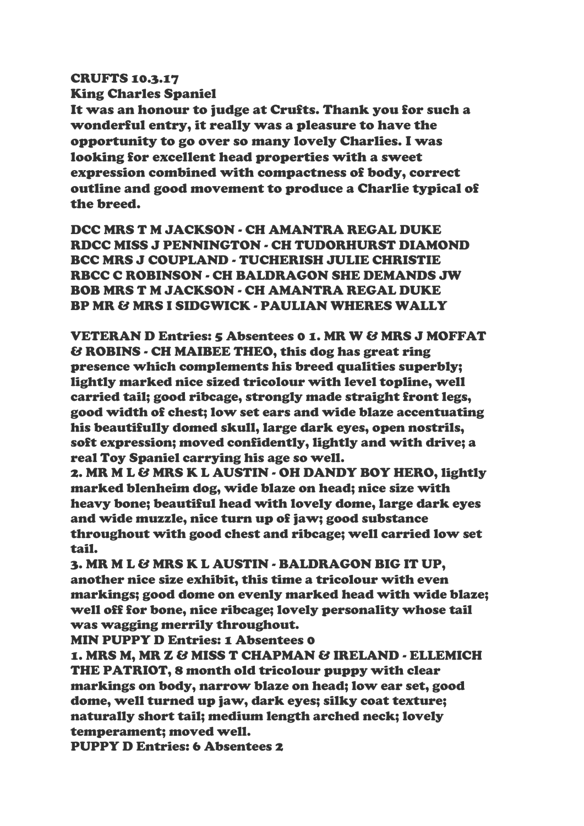## CRUFTS 10.3.17

King Charles Spaniel

It was an honour to judge at Crufts. Thank you for such a wonderful entry, it really was a pleasure to have the opportunity to go over so many lovely Charlies. I was looking for excellent head properties with a sweet expression combined with compactness of body, correct outline and good movement to produce a Charlie typical of the breed.

DCC MRS T M JACKSON - CH AMANTRA REGAL DUKE RDCC MISS J PENNINGTON - CH TUDORHURST DIAMOND BCC MRS J COUPLAND - TUCHERISH JULIE CHRISTIE RBCC C ROBINSON - CH BALDRAGON SHE DEMANDS JW BOB MRS T M JACKSON - CH AMANTRA REGAL DUKE BP MR & MRS I SIDGWICK - PAULIAN WHERES WALLY

VETERAN D Entries: 5 Absentees 0 1. MR W & MRS J MOFFAT & ROBINS - CH MAIBEE THEO, this dog has great ring presence which complements his breed qualities superbly; lightly marked nice sized tricolour with level topline, well carried tail; good ribcage, strongly made straight front legs, good width of chest; low set ears and wide blaze accentuating his beautifully domed skull, large dark eyes, open nostrils, soft expression; moved confidently, lightly and with drive; a real Toy Spaniel carrying his age so well.

2. MR M L & MRS K L AUSTIN - OH DANDY BOY HERO, lightly marked blenheim dog, wide blaze on head; nice size with heavy bone; beautiful head with lovely dome, large dark eyes and wide muzzle, nice turn up of jaw; good substance throughout with good chest and ribcage; well carried low set tail.

3. MR M L & MRS K L AUSTIN - BALDRAGON BIG IT UP, another nice size exhibit, this time a tricolour with even markings; good dome on evenly marked head with wide blaze; well off for bone, nice ribcage; lovely personality whose tail was wagging merrily throughout.

MIN PUPPY D Entries: 1 Absentees 0

1. MRS M, MR Z & MISS T CHAPMAN & IRELAND - ELLEMICH THE PATRIOT, 8 month old tricolour puppy with clear markings on body, narrow blaze on head; low ear set, good dome, well turned up jaw, dark eyes; silky coat texture; naturally short tail; medium length arched neck; lovely temperament; moved well.

PUPPY D Entries: 6 Absentees 2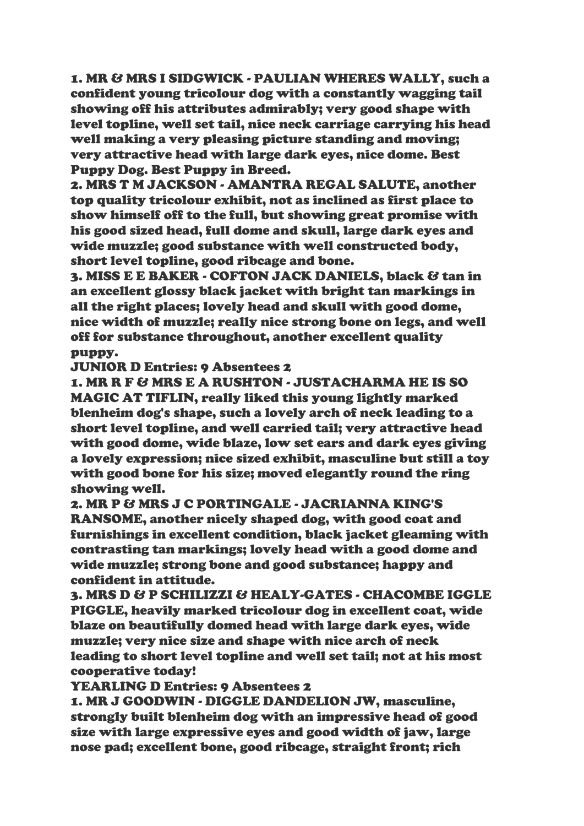1. MR & MRS I SIDGWICK - PAULIAN WHERES WALLY, such a confident young tricolour dog with a constantly wagging tail showing off his attributes admirably; very good shape with level topline, well set tail, nice neck carriage carrying his head well making a very pleasing picture standing and moving; very attractive head with large dark eyes, nice dome. Best Puppy Dog. Best Puppy in Breed.

2. MRS T M JACKSON - AMANTRA REGAL SALUTE, another top quality tricolour exhibit, not as inclined as first place to show himself off to the full, but showing great promise with his good sized head, full dome and skull, large dark eyes and wide muzzle; good substance with well constructed body, short level topline, good ribcage and bone.

3. MISS E E BAKER - COFTON JACK DANIELS, black & tan in an excellent glossy black jacket with bright tan markings in all the right places; lovely head and skull with good dome, nice width of muzzle; really nice strong bone on legs, and well off for substance throughout, another excellent quality puppy.

JUNIOR D Entries: 9 Absentees 2

1. MR R F & MRS E A RUSHTON - JUSTACHARMA HE IS SO MAGIC AT TIFLIN, really liked this young lightly marked blenheim dog's shape, such a lovely arch of neck leading to a short level topline, and well carried tail; very attractive head with good dome, wide blaze, low set ears and dark eyes giving a lovely expression; nice sized exhibit, masculine but still a toy with good bone for his size; moved elegantly round the ring showing well.

2. MR P & MRS J C PORTINGALE - JACRIANNA KING'S RANSOME, another nicely shaped dog, with good coat and furnishings in excellent condition, black jacket gleaming with contrasting tan markings; lovely head with a good dome and wide muzzle; strong bone and good substance; happy and confident in attitude.

3. MRS D & P SCHILIZZI & HEALY-GATES - CHACOMBE IGGLE PIGGLE, heavily marked tricolour dog in excellent coat, wide blaze on beautifully domed head with large dark eyes, wide muzzle; very nice size and shape with nice arch of neck leading to short level topline and well set tail; not at his most cooperative today!

YEARLING D Entries: 9 Absentees 2

1. MR J GOODWIN - DIGGLE DANDELION JW, masculine, strongly built blenheim dog with an impressive head of good size with large expressive eyes and good width of jaw, large nose pad; excellent bone, good ribcage, straight front; rich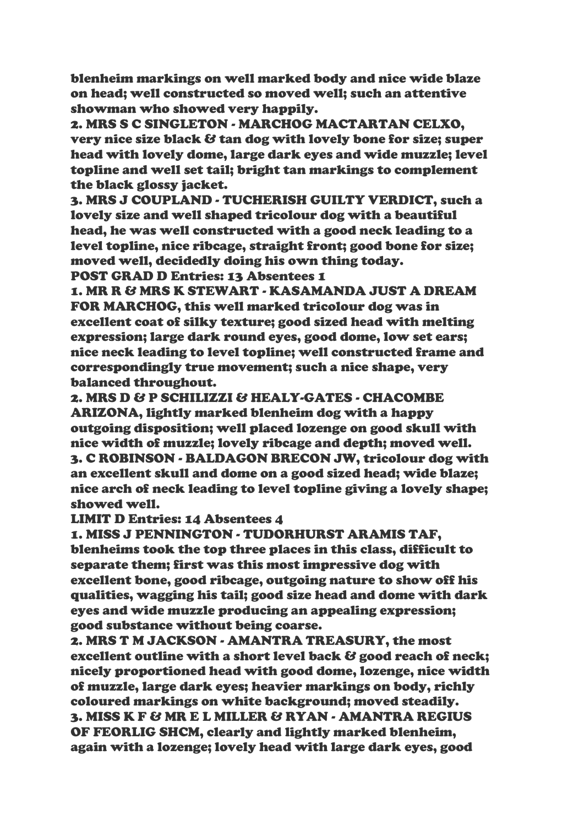blenheim markings on well marked body and nice wide blaze on head; well constructed so moved well; such an attentive showman who showed very happily.

2. MRS S C SINGLETON - MARCHOG MACTARTAN CELXO, very nice size black & tan dog with lovely bone for size; super head with lovely dome, large dark eyes and wide muzzle; level topline and well set tail; bright tan markings to complement the black glossy jacket.

3. MRS J COUPLAND - TUCHERISH GUILTY VERDICT, such a lovely size and well shaped tricolour dog with a beautiful head, he was well constructed with a good neck leading to a level topline, nice ribcage, straight front; good bone for size; moved well, decidedly doing his own thing today. POST GRAD D Entries: 13 Absentees 1

1. MR R & MRS K STEWART - KASAMANDA JUST A DREAM FOR MARCHOG, this well marked tricolour dog was in excellent coat of silky texture; good sized head with melting expression; large dark round eyes, good dome, low set ears; nice neck leading to level topline; well constructed frame and correspondingly true movement; such a nice shape, very balanced throughout.

2. MRS D & P SCHILIZZI & HEALY-GATES - CHACOMBE ARIZONA, lightly marked blenheim dog with a happy outgoing disposition; well placed lozenge on good skull with nice width of muzzle; lovely ribcage and depth; moved well. 3. C ROBINSON - BALDAGON BRECON JW, tricolour dog with an excellent skull and dome on a good sized head; wide blaze; nice arch of neck leading to level topline giving a lovely shape; showed well.

## LIMIT D Entries: 14 Absentees 4

1. MISS J PENNINGTON - TUDORHURST ARAMIS TAF, blenheims took the top three places in this class, difficult to separate them; first was this most impressive dog with excellent bone, good ribcage, outgoing nature to show off his qualities, wagging his tail; good size head and dome with dark eyes and wide muzzle producing an appealing expression; good substance without being coarse.

2. MRS T M JACKSON - AMANTRA TREASURY, the most excellent outline with a short level back & good reach of neck; nicely proportioned head with good dome, lozenge, nice width of muzzle, large dark eyes; heavier markings on body, richly coloured markings on white background; moved steadily. 3. MISS K F & MR E L MILLER & RYAN - AMANTRA REGIUS OF FEORLIG SHCM, clearly and lightly marked blenheim, again with a lozenge; lovely head with large dark eyes, good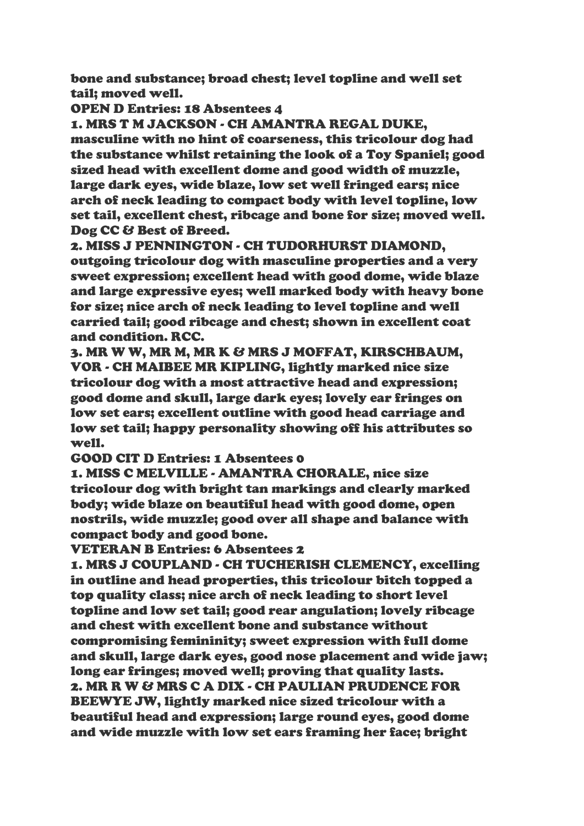bone and substance; broad chest; level topline and well set tail; moved well.

OPEN D Entries: 18 Absentees 4

1. MRS T M JACKSON - CH AMANTRA REGAL DUKE, masculine with no hint of coarseness, this tricolour dog had the substance whilst retaining the look of a Toy Spaniel; good sized head with excellent dome and good width of muzzle, large dark eyes, wide blaze, low set well fringed ears; nice arch of neck leading to compact body with level topline, low set tail, excellent chest, ribcage and bone for size; moved well. Dog CC & Best of Breed.

2. MISS J PENNINGTON - CH TUDORHURST DIAMOND, outgoing tricolour dog with masculine properties and a very sweet expression; excellent head with good dome, wide blaze and large expressive eyes; well marked body with heavy bone for size; nice arch of neck leading to level topline and well carried tail; good ribcage and chest; shown in excellent coat and condition. RCC.

3. MR W W, MR M, MR K & MRS J MOFFAT, KIRSCHBAUM, VOR - CH MAIBEE MR KIPLING, lightly marked nice size tricolour dog with a most attractive head and expression; good dome and skull, large dark eyes; lovely ear fringes on low set ears; excellent outline with good head carriage and low set tail; happy personality showing off his attributes so well.

GOOD CIT D Entries: 1 Absentees 0

1. MISS C MELVILLE - AMANTRA CHORALE, nice size tricolour dog with bright tan markings and clearly marked body; wide blaze on beautiful head with good dome, open nostrils, wide muzzle; good over all shape and balance with compact body and good bone.

VETERAN B Entries: 6 Absentees 2

1. MRS J COUPLAND - CH TUCHERISH CLEMENCY, excelling in outline and head properties, this tricolour bitch topped a top quality class; nice arch of neck leading to short level topline and low set tail; good rear angulation; lovely ribcage and chest with excellent bone and substance without compromising femininity; sweet expression with full dome and skull, large dark eyes, good nose placement and wide jaw; long ear fringes; moved well; proving that quality lasts. 2. MR R W & MRS C A DIX - CH PAULIAN PRUDENCE FOR BEEWYE JW, lightly marked nice sized tricolour with a beautiful head and expression; large round eyes, good dome and wide muzzle with low set ears framing her face; bright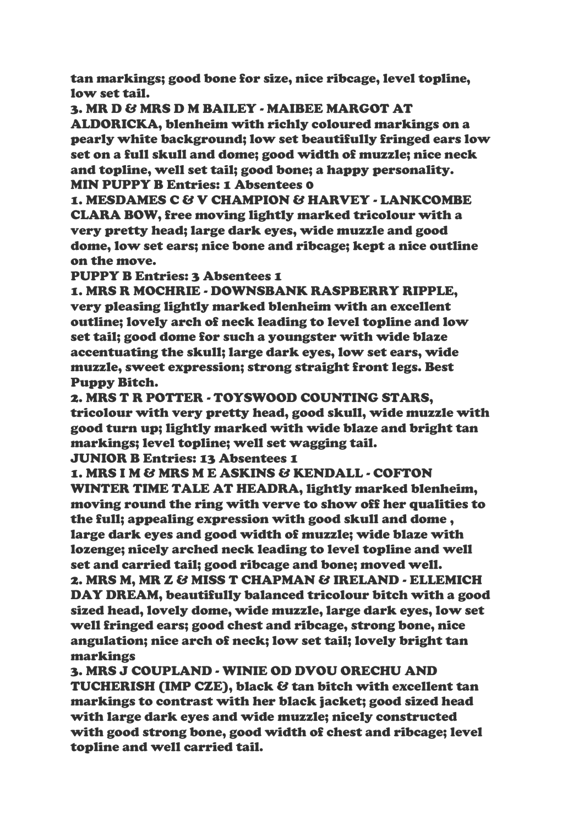tan markings; good bone for size, nice ribcage, level topline, low set tail.

3. MR D & MRS D M BAILEY - MAIBEE MARGOT AT ALDORICKA, blenheim with richly coloured markings on a pearly white background; low set beautifully fringed ears low set on a full skull and dome; good width of muzzle; nice neck and topline, well set tail; good bone; a happy personality. MIN PUPPY B Entries: 1 Absentees 0

1. MESDAMES C & V CHAMPION & HARVEY - LANKCOMBE CLARA BOW, free moving lightly marked tricolour with a very pretty head; large dark eyes, wide muzzle and good dome, low set ears; nice bone and ribcage; kept a nice outline on the move.

PUPPY B Entries: 3 Absentees 1

1. MRS R MOCHRIE - DOWNSBANK RASPBERRY RIPPLE, very pleasing lightly marked blenheim with an excellent outline; lovely arch of neck leading to level topline and low set tail; good dome for such a youngster with wide blaze accentuating the skull; large dark eyes, low set ears, wide muzzle, sweet expression; strong straight front legs. Best Puppy Bitch.

2. MRS T R POTTER - TOYSWOOD COUNTING STARS, tricolour with very pretty head, good skull, wide muzzle with good turn up; lightly marked with wide blaze and bright tan markings; level topline; well set wagging tail.

JUNIOR B Entries: 13 Absentees 1

1. MRS I M & MRS M E ASKINS & KENDALL - COFTON WINTER TIME TALE AT HEADRA, lightly marked blenheim, moving round the ring with verve to show off her qualities to the full; appealing expression with good skull and dome , large dark eyes and good width of muzzle; wide blaze with lozenge; nicely arched neck leading to level topline and well set and carried tail; good ribcage and bone; moved well. 2. MRS M, MR Z & MISS T CHAPMAN & IRELAND - ELLEMICH DAY DREAM, beautifully balanced tricolour bitch with a good sized head, lovely dome, wide muzzle, large dark eyes, low set well fringed ears; good chest and ribcage, strong bone, nice angulation; nice arch of neck; low set tail; lovely bright tan markings

3. MRS J COUPLAND - WINIE OD DVOU ORECHU AND TUCHERISH (IMP CZE), black & tan bitch with excellent tan markings to contrast with her black jacket; good sized head with large dark eyes and wide muzzle; nicely constructed with good strong bone, good width of chest and ribcage; level topline and well carried tail.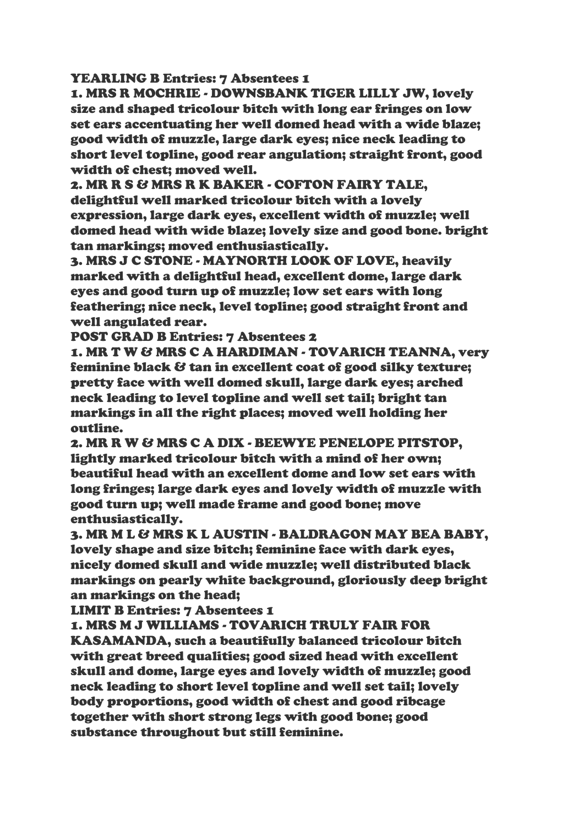## YEARLING B Entries: 7 Absentees 1

1. MRS R MOCHRIE - DOWNSBANK TIGER LILLY JW, lovely size and shaped tricolour bitch with long ear fringes on low set ears accentuating her well domed head with a wide blaze; good width of muzzle, large dark eyes; nice neck leading to short level topline, good rear angulation; straight front, good width of chest; moved well.

2. MR R S & MRS R K BAKER - COFTON FAIRY TALE, delightful well marked tricolour bitch with a lovely expression, large dark eyes, excellent width of muzzle; well domed head with wide blaze; lovely size and good bone. bright tan markings; moved enthusiastically.

3. MRS J C STONE - MAYNORTH LOOK OF LOVE, heavily marked with a delightful head, excellent dome, large dark eyes and good turn up of muzzle; low set ears with long feathering; nice neck, level topline; good straight front and well angulated rear.

POST GRAD B Entries: 7 Absentees 2

1. MR T W & MRS C A HARDIMAN - TOVARICH TEANNA, very feminine black & tan in excellent coat of good silky texture; pretty face with well domed skull, large dark eyes; arched neck leading to level topline and well set tail; bright tan markings in all the right places; moved well holding her outline.

2. MR R W & MRS C A DIX - BEEWYE PENELOPE PITSTOP, lightly marked tricolour bitch with a mind of her own; beautiful head with an excellent dome and low set ears with long fringes; large dark eyes and lovely width of muzzle with good turn up; well made frame and good bone; move enthusiastically.

3. MR M L & MRS K L AUSTIN - BALDRAGON MAY BEA BABY, lovely shape and size bitch; feminine face with dark eyes, nicely domed skull and wide muzzle; well distributed black markings on pearly white background, gloriously deep bright an markings on the head;

LIMIT B Entries: 7 Absentees 1

1. MRS M J WILLIAMS - TOVARICH TRULY FAIR FOR KASAMANDA, such a beautifully balanced tricolour bitch with great breed qualities; good sized head with excellent skull and dome, large eyes and lovely width of muzzle; good neck leading to short level topline and well set tail; lovely body proportions, good width of chest and good ribcage together with short strong legs with good bone; good substance throughout but still feminine.